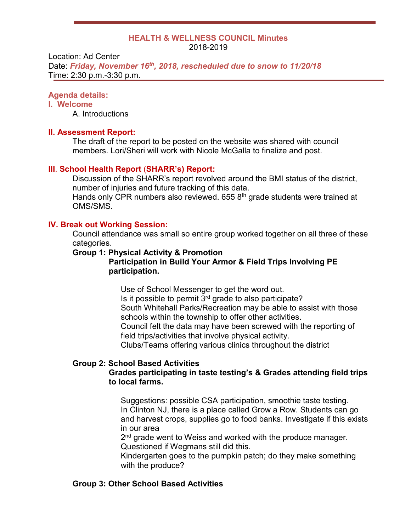#### **HEALTH & WELLNESS COUNCIL Minutes** 2018-2019

Location: Ad Center Date: *Friday, November 16th, 2018, rescheduled due to snow to 11/20/18* Time: 2:30 p.m.-3:30 p.m.

### **Agenda details:**

# **I. Welcome**

A. Introductions

### **II. Assessment Report:**

The draft of the report to be posted on the website was shared with council members. Lori/Sheri will work with Nicole McGalla to finalize and post.

## **III**. **School Health Report** (**SHARR's) Report:**

Discussion of the SHARR's report revolved around the BMI status of the district, number of injuries and future tracking of this data.

Hands only CPR numbers also reviewed.  $6558<sup>th</sup>$  grade students were trained at OMS/SMS.

# **IV. Break out Working Session:**

Council attendance was small so entire group worked together on all three of these categories.

#### **Group 1: Physical Activity & Promotion**

## **Participation in Build Your Armor & Field Trips Involving PE participation.**

Use of School Messenger to get the word out. Is it possible to permit  $3<sup>rd</sup>$  grade to also participate? South Whitehall Parks/Recreation may be able to assist with those schools within the township to offer other activities. Council felt the data may have been screwed with the reporting of field trips/activities that involve physical activity. Clubs/Teams offering various clinics throughout the district

# **Group 2: School Based Activities**

# **Grades participating in taste testing's & Grades attending field trips to local farms.**

Suggestions: possible CSA participation, smoothie taste testing. In Clinton NJ, there is a place called Grow a Row. Students can go and harvest crops, supplies go to food banks. Investigate if this exists in our area

2<sup>nd</sup> grade went to Weiss and worked with the produce manager. Questioned if Wegmans still did this.

Kindergarten goes to the pumpkin patch; do they make something with the produce?

# **Group 3: Other School Based Activities**